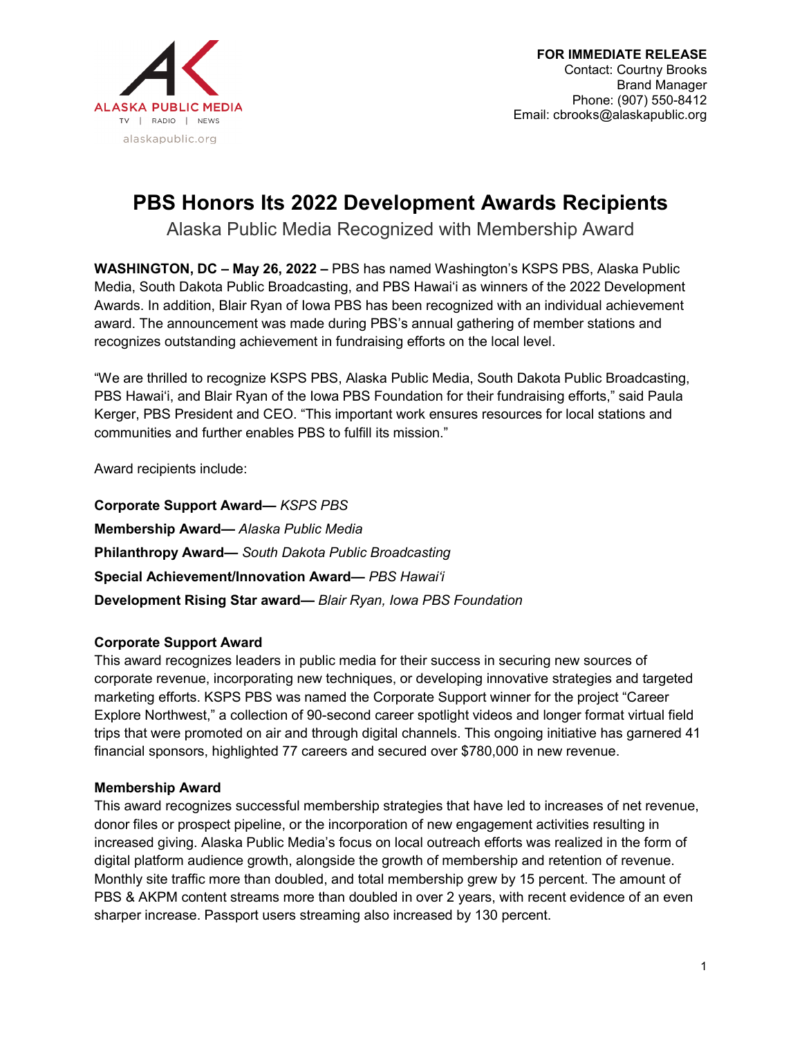

# **PBS Honors Its 2022 Development Awards Recipients**

Alaska Public Media Recognized with Membership Award

**WASHINGTON, DC – May 26, 2022 –** PBS has named Washington's KSPS PBS, Alaska Public Media, South Dakota Public Broadcasting, and PBS Hawaiʻi as winners of the 2022 Development Awards. In addition, Blair Ryan of Iowa PBS has been recognized with an individual achievement award. The announcement was made during PBS's annual gathering of member stations and recognizes outstanding achievement in fundraising efforts on the local level.

"We are thrilled to recognize KSPS PBS, Alaska Public Media, South Dakota Public Broadcasting, PBS Hawai'i, and Blair Ryan of the Iowa PBS Foundation for their fundraising efforts," said Paula Kerger, PBS President and CEO. "This important work ensures resources for local stations and communities and further enables PBS to fulfill its mission."

Award recipients include:

**Corporate Support Award—** *KSPS PBS* **Membership Award—** *Alaska Public Media* **Philanthropy Award—** *South Dakota Public Broadcasting* **Special Achievement/Innovation Award—** *PBS Hawaiʻi* **Development Rising Star award—** *Blair Ryan, Iowa PBS Foundation*

# **Corporate Support Award**

This award recognizes leaders in public media for their success in securing new sources of corporate revenue, incorporating new techniques, or developing innovative strategies and targeted marketing efforts. KSPS PBS was named the Corporate Support winner for the project "Career Explore Northwest," a collection of 90-second career spotlight videos and longer format virtual field trips that were promoted on air and through digital channels. This ongoing initiative has garnered 41 financial sponsors, highlighted 77 careers and secured over \$780,000 in new revenue.

## **Membership Award**

This award recognizes successful membership strategies that have led to increases of net revenue, donor files or prospect pipeline, or the incorporation of new engagement activities resulting in increased giving. Alaska Public Media's focus on local outreach efforts was realized in the form of digital platform audience growth, alongside the growth of membership and retention of revenue. Monthly site traffic more than doubled, and total membership grew by 15 percent. The amount of PBS & AKPM content streams more than doubled in over 2 years, with recent evidence of an even sharper increase. Passport users streaming also increased by 130 percent.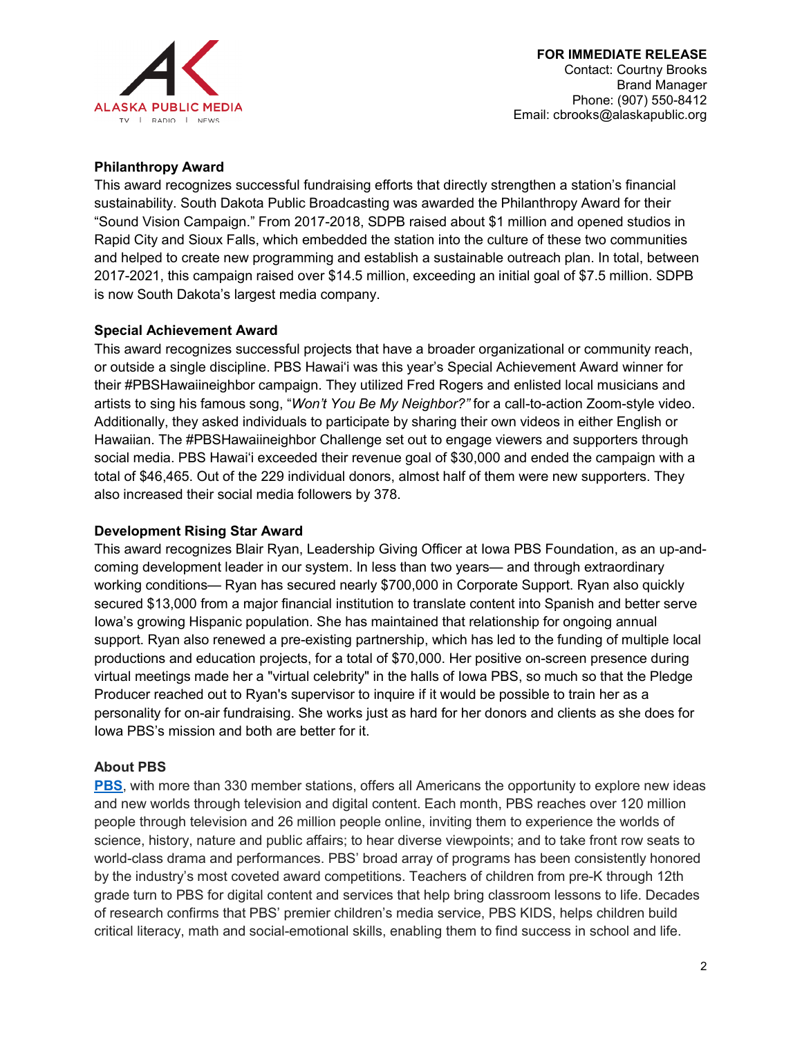

### **Philanthropy Award**

This award recognizes successful fundraising efforts that directly strengthen a station's financial sustainability. South Dakota Public Broadcasting was awarded the Philanthropy Award for their "Sound Vision Campaign." From 2017-2018, SDPB raised about \$1 million and opened studios in Rapid City and Sioux Falls, which embedded the station into the culture of these two communities and helped to create new programming and establish a sustainable outreach plan. In total, between 2017-2021, this campaign raised over \$14.5 million, exceeding an initial goal of \$7.5 million. SDPB is now South Dakota's largest media company.

#### **Special Achievement Award**

This award recognizes successful projects that have a broader organizational or community reach, or outside a single discipline. PBS Hawaiʻi was this year's Special Achievement Award winner for their #PBSHawaiineighbor campaign. They utilized Fred Rogers and enlisted local musicians and artists to sing his famous song, "*Won't You Be My Neighbor?"* for a call-to-action Zoom-style video. Additionally, they asked individuals to participate by sharing their own videos in either English or Hawaiian. The #PBSHawaiineighbor Challenge set out to engage viewers and supporters through social media. PBS Hawaiʻi exceeded their revenue goal of \$30,000 and ended the campaign with a total of \$46,465. Out of the 229 individual donors, almost half of them were new supporters. They also increased their social media followers by 378.

#### **Development Rising Star Award**

This award recognizes Blair Ryan, Leadership Giving Officer at Iowa PBS Foundation, as an up-andcoming development leader in our system. In less than two years— and through extraordinary working conditions— Ryan has secured nearly \$700,000 in Corporate Support. Ryan also quickly secured \$13,000 from a major financial institution to translate content into Spanish and better serve Iowa's growing Hispanic population. She has maintained that relationship for ongoing annual support. Ryan also renewed a pre-existing partnership, which has led to the funding of multiple local productions and education projects, for a total of \$70,000. Her positive on-screen presence during virtual meetings made her a "virtual celebrity" in the halls of Iowa PBS, so much so that the Pledge Producer reached out to Ryan's supervisor to inquire if it would be possible to train her as a personality for on-air fundraising. She works just as hard for her donors and clients as she does for Iowa PBS's mission and both are better for it.

#### **About PBS**

**[PBS](http://www.pbs.org/)**, with more than 330 member stations, offers all Americans the opportunity to explore new ideas and new worlds through television and digital content. Each month, PBS reaches over 120 million people through television and 26 million people online, inviting them to experience the worlds of science, history, nature and public affairs; to hear diverse viewpoints; and to take front row seats to world-class drama and performances. PBS' broad array of programs has been consistently honored by the industry's most coveted award competitions. Teachers of children from pre-K through 12th grade turn to PBS for digital content and services that help bring classroom lessons to life. Decades of research confirms that PBS' premier children's media service, PBS KIDS, helps children build critical literacy, math and social-emotional skills, enabling them to find success in school and life.